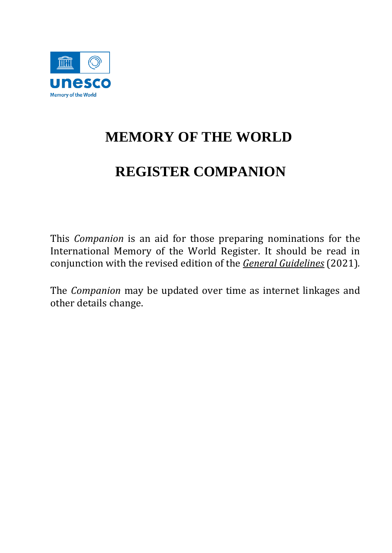

# **MEMORY OF THE WORLD**

# **REGISTER COMPANION**

This *Companion* is an aid for those preparing nominations for the International Memory of the World Register. It should be read in conjunction with the revised edition of the *[General Guidelines](https://en.unesco.org/sites/default/files/mow_general_guidelines_en.pdf)* (2021)*.* 

The *Companion* may be updated over time as internet linkages and other details change.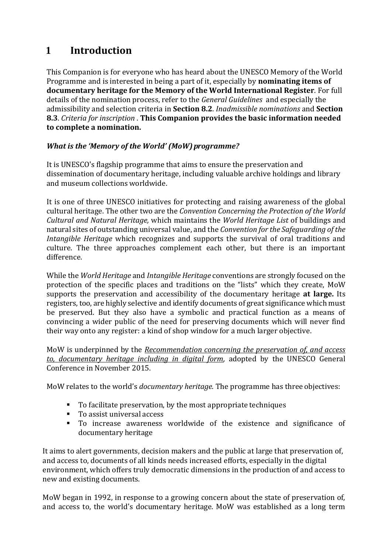# **1 Introduction**

This Companion is for everyone who has heard about the UNESCO Memory of the World Programme and is interested in being a part of it, especially by **nominating items of documentary heritage for the Memory of the World International Register**. For full details of the nomination process, refer to the *General Guidelines* and especially the admissibility and selection criteria in **Section 8.2**. *Inadmissible nominations* and **Section 8.3**. *Criteria for inscription* . **This Companion provides the basic information needed to complete a nomination.**

# *What is the 'Memory of the World' (MoW) programme?*

It is UNESCO's flagship programme that aims to ensure the preservation and dissemination of documentary heritage, including valuable archive holdings and library and museum collections worldwide.

It is one of three UNESCO initiatives for protecting and raising awareness of the global cultural heritage. The other two are the *Convention Concerning the Protection of the World Cultural and Natural Heritage,* which maintains the *World Heritage List* of buildings and natural sites of outstanding universal value, and the *Convention for the Safeguarding of the Intangible Heritage* which recognizes and supports the survival of oral traditions and culture. The three approaches complement each other, but there is an important difference.

While the *World Heritage* and *Intangible Heritage* conventions are strongly focused on the protection of the specific places and traditions on the "lists" which they create, MoW supports the preservation and accessibility of the documentary heritage **at large.** Its registers, too, are highly selective and identify documents of great significance which must be preserved. But they also have a symbolic and practical function as a means of convincing a wider public of the need for preserving documents which will never find their way onto any register: a kind of shop window for a much larger objective.

MoW is underpinned by the *[Recommendation concerning the preservation of, and access](https://unesdoc.unesco.org/ark:/48223/pf0000244675.page=5)  [to, documentary heritage including in digital form,](https://unesdoc.unesco.org/ark:/48223/pf0000244675.page=5)* adopted by the UNESCO General Conference in November 2015.

MoW relates to the world's *documentary heritage.* The programme has three objectives:

- To facilitate preservation, by the most appropriate techniques
- To assist universal access
- To increase awareness worldwide of the existence and significance of documentary heritage

It aims to alert governments, decision makers and the public at large that preservation of, and access to, documents of all kinds needs increased efforts, especially in the digital environment, which offers truly democratic dimensions in the production of and access to new and existing documents.

MoW began in 1992, in response to a growing concern about the state of preservation of, and access to, the world's documentary heritage. MoW was established as a long term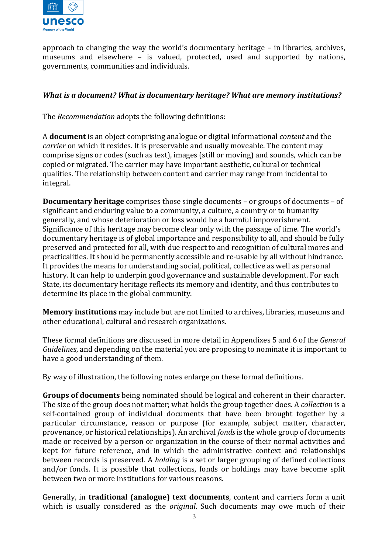

approach to changing the way the world's documentary heritage – in libraries, archives, museums and elsewhere – is valued, protected, used and supported by nations, governments, communities and individuals.

#### *What is a document? What is documentary heritage? What are memory institutions?*

The *Recommendation* adopts the following definitions:

A **document** is an object comprising analogue or digital informational *content* and the *carrier* on which it resides. It is preservable and usually moveable. The content may comprise signs or codes (such as text), images (still or moving) and sounds, which can be copied or migrated. The carrier may have important aesthetic, cultural or technical qualities. The relationship between content and carrier may range from incidental to integral.

**Documentary heritage** comprises those single documents – or groups of documents – of significant and enduring value to a community, a culture, a country or to humanity generally, and whose deterioration or loss would be a harmful impoverishment. Significance of this heritage may become clear only with the passage of time. The world's documentary heritage is of global importance and responsibility to all, and should be fully preserved and protected for all, with due respect to and recognition of cultural mores and practicalities. It should be permanently accessible and re-usable by all without hindrance. It provides the means for understanding social, political, collective as well as personal history. It can help to underpin good governance and sustainable development. For each State, its documentary heritage reflects its memory and identity, and thus contributes to determine its place in the global community.

**Memory institutions** may include but are not limited to archives, libraries, museums and other educational, cultural and research organizations.

These formal definitions are discussed in more detail in Appendixes 5 and 6 of the *General Guidelines*, and depending on the material you are proposing to nominate it is important to have a good understanding of them.

By way of illustration, the following notes enlarge on these formal definitions.

**Groups of documents** being nominated should be logical and coherent in their character. The size of the group does not matter; what holds the group together does. A *collection* is a self-contained group of individual documents that have been brought together by a particular circumstance, reason or purpose (for example, subject matter, character, provenance, or historical relationships). An archival *fonds* is the whole group of documents made or received by a person or organization in the course of their normal activities and kept for future reference, and in which the administrative context and relationships between records is preserved. A *holding* is a set or larger grouping of defined collections and/or fonds. It is possible that collections, fonds or holdings may have become split between two or more institutions for various reasons.

Generally, in **traditional (analogue) text documents**, content and carriers form a unit which is usually considered as the *original*. Such documents may owe much of their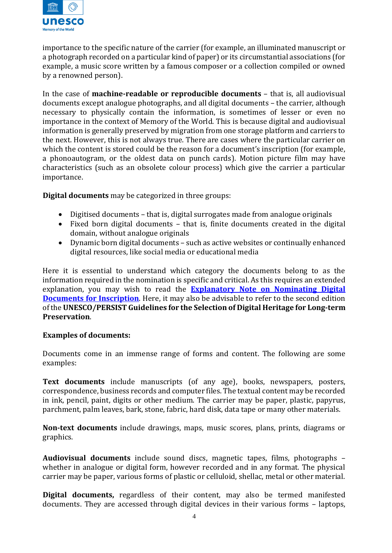

importance to the specific nature of the carrier (for example, an illuminated manuscript or a photograph recorded on a particular kind of paper) or its circumstantial associations (for example, a music score written by a famous composer or a collection compiled or owned by a renowned person).

In the case of **machine-readable or reproducible documents** – that is, all audiovisual documents except analogue photographs, and all digital documents – the carrier, although necessary to physically contain the information, is sometimes of lesser or even no importance in the context of Memory of the World. This is because digital and audiovisual information is generally preserved by migration from one storage platform and carriers to the next. However, this is not always true. There are cases where the particular carrier on which the content is stored could be the reason for a document's inscription (for example, a phonoautogram, or the oldest data on punch cards). Motion picture film may have characteristics (such as an obsolete colour process) which give the carrier a particular importance.

**Digital documents** may be categorized in three groups:

- Digitised documents that is, digital surrogates made from analogue originals
- Fixed born digital documents that is, finite documents created in the digital domain, without analogue originals
- Dynamic born digital documents such as active websites or continually enhanced digital resources, like social media or educational media

Here it is essential to understand which category the documents belong to as the information required in the nomination is specific and critical. As this requires an extended explanation, you may wish to read the **[Explanatory Note on Nominating Digital](https://en.unesco.org/sites/default/files/nominating_digital_documents_inscription_note_en.pdf)  [Documents for Inscription](https://en.unesco.org/sites/default/files/nominating_digital_documents_inscription_note_en.pdf).** Here, it may also be advisable to refer to the second edition of the **UNESCO/PERSIST Guidelines for the Selection of Digital Heritage for Long-term Preservation**.

#### **Examples of documents:**

Documents come in an immense range of forms and content. The following are some examples:

**Text documents** include manuscripts (of any age), books, newspapers, posters, correspondence, business records and computer files. The textual content may be recorded in ink, pencil, paint, digits or other medium. The carrier may be paper, plastic, papyrus, parchment, palm leaves, bark, stone, fabric, hard disk, data tape or many other materials.

**Non-text documents** include drawings, maps, music scores, plans, prints, diagrams or graphics.

**Audiovisual documents** include sound discs, magnetic tapes, films, photographs – whether in analogue or digital form, however recorded and in any format. The physical carrier may be paper, various forms of plastic or celluloid, shellac, metal or other material.

**Digital documents,** regardless of their content, may also be termed manifested documents. They are accessed through digital devices in their various forms – laptops,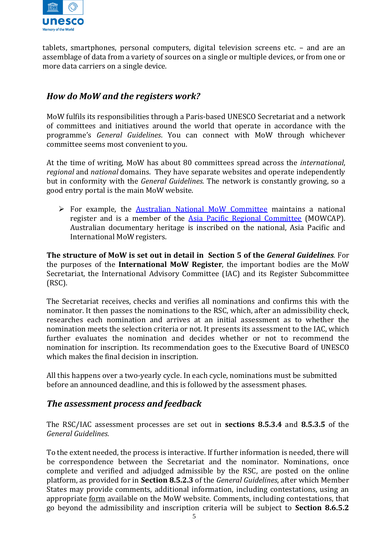

tablets, smartphones, personal computers, digital television screens etc. – and are an assemblage of data from a variety of sources on a single or multiple devices, or from one or more data carriers on a single device.

# *How do MoW and the registers work?*

MoW fulfils its responsibilities through a Paris-based UNESCO Secretariat and a network of committees and initiatives around the world that operate in accordance with the programme's *General Guidelines*. You can connect with MoW through whichever committee seems most convenient to you.

At the time of writing, MoW has about 80 committees spread across the *international*, *regional* and *national* domains. They have separate websites and operate independently but in conformity with the *General Guidelines.* The network is constantly growing, so a good entry portal is the main MoW website.

➢ For example, the [Australian National MoW Committee](https://www.amw.org.au/) maintains a national register and is a member of the [Asia Pacific Regional Committee](http://www.mowcapunesco.org/) (MOWCAP[\).](http://www.unesco.mowcap.org/) Australian documentary heritage is inscribed on the national, Asia Pacific and International MoW registers.

**The structure of MoW is set out in detail in Section 5 of the** *General Guidelines.* For the purposes of the **International MoW Register**, the important bodies are the MoW Secretariat, the International Advisory Committee (IAC) and its Register Subcommittee (RSC).

The Secretariat receives, checks and verifies all nominations and confirms this with the nominator. It then passes the nominations to the RSC, which, after an admissibility check, researches each nomination and arrives at an initial assessment as to whether the nomination meets the selection criteria or not. It presents its assessment to the IAC, which further evaluates the nomination and decides whether or not to recommend the nomination for inscription. Its recommendation goes to the Executive Board of UNESCO which makes the final decision in inscription.

All this happens over a two-yearly cycle. In each cycle, nominations must be submitted before an announced deadline, and this is followed by the assessment phases.

# *The assessment process and feedback*

The RSC/IAC assessment processes are set out in **sections 8.5.3.4** and **8.5.3.5** of the *General Guidelines.* 

To the extent needed, the process is interactive. If further information is needed, there will be correspondence between the Secretariat and the nominator. Nominations, once complete and verified and adjudged admissible by the RSC, are posted on the online platform, as provided for in **Section 8.5.2.3** of the *General Guidelines*, after which Member States may provide comments, additional information, including contestations, using an appropriate [form](https://en.unesco.org/sites/default/files/mow_id_nomination_comments_form_en.pdf) available on the MoW website. Comments, including contestations, that go beyond the admissibility and inscription criteria will be subject to **Section 8.6.5.2**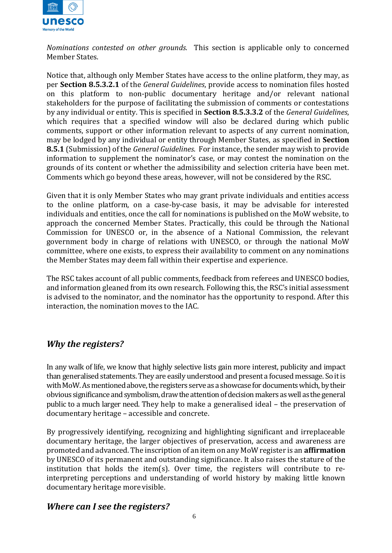

*Nominations contested on other grounds.*This section is applicable only to concerned Member States.

Notice that, although only Member States have access to the online platform, they may, as per **Section 8.5.3.2.1** of the *General Guidelines*, provide access to nomination files hosted on this platform to non-public documentary heritage and/or relevant national stakeholders for the purpose of facilitating the submission of comments or contestations by any individual or entity. This is specified in **Section 8.5.3.3.2** of the *General Guidelines*, which requires that a specified window will also be declared during which public comments, support or other information relevant to aspects of any current nomination, may be lodged by any individual or entity through Member States, as specified in **Section 8.5.1** (Submission) of the *General Guidelines*. For instance, the sender may wish to provide information to supplement the nominator's case, or may contest the nomination on the grounds of its content or whether the admissibility and selection criteria have been met. Comments which go beyond these areas, however, will not be considered by the RSC.

Given that it is only Member States who may grant private individuals and entities access to the online platform, on a case-by-case basis, it may be advisable for interested individuals and entities, once the call for nominations is published on the MoW website, to approach the concerned Member States. Practically, this could be through the National Commission for UNESCO or, in the absence of a National Commission, the relevant government body in charge of relations with UNESCO, or through the national MoW committee, where one exists, to express their availability to comment on any nominations the Member States may deem fall within their expertise and experience.

The RSC takes account of all public comments, feedback from referees and UNESCO bodies, and information gleaned from its own research. Following this, the RSC's initial assessment is advised to the nominator, and the nominator has the opportunity to respond. After this interaction, the nomination moves to the IAC.

# *Why the registers?*

In any walk of life, we know that highly selective lists gain more interest, publicity and impact than generalised statements. They are easily understood and present a focused message. So it is with MoW. As mentioned above, the registers serve as a showcase for documents which, by their obvious significance and symbolism, draw the attention of decision makers as well as the general public to a much larger need. They help to make a generalised ideal – the preservation of documentary heritage – accessible and concrete.

By progressively identifying, recognizing and highlighting significant and irreplaceable documentary heritage, the larger objectives of preservation, access and awareness are promoted and advanced. The inscription of an item on any MoW register is an **affirmation**  by UNESCO of its permanent and outstanding significance. It also raises the stature of the institution that holds the item(s). Over time, the registers will contribute to reinterpreting perceptions and understanding of world history by making little known documentary heritage more visible.

#### *Where can I see the registers?*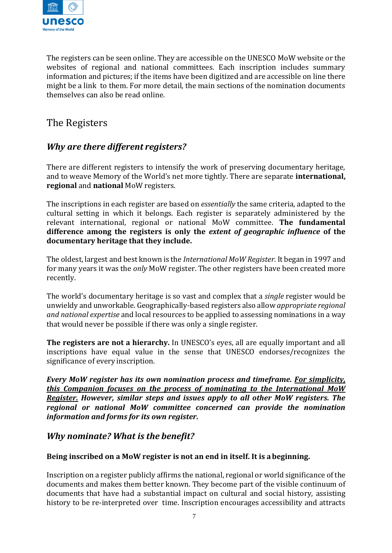

The registers can be seen online. They are accessible on the UNESCO MoW website or the websites of regional and national committees. Each inscription includes summary information and pictures; if the items have been digitized and are accessible on line there might be a link to them. For more detail, the main sections of the nomination documents themselves can also be read online.

# The Registers

# *Why are there different registers?*

There are different registers to intensify the work of preserving documentary heritage, and to weave Memory of the World's net more tightly. There are separate **international, regional** and **national** MoW registers.

The inscriptions in each register are based on *essentially* the same criteria, adapted to the cultural setting in which it belongs. Each register is separately administered by the relevant international, regional or national MoW committee. **The fundamental difference among the registers is only the** *extent of geographic influence* **of the documentary heritage that they include.**

The oldest, largest and best known is the *International MoW Register.* It began in 1997 and for many years it was the *only* MoW register. The other registers have been created more recently.

The world's documentary heritage is so vast and complex that a *single* register would be unwieldy and unworkable. Geographically-based registers also allow *appropriate regional and national expertise* and local resources to be applied to assessing nominations in a way that would never be possible if there was only a single register.

**The registers are not a hierarchy.** In UNESCO's eyes, all are equally important and all inscriptions have equal value in the sense that UNESCO endorses/recognizes the significance of every inscription.

*Every MoW register has its own nomination process and timeframe. For simplicity, this Companion focuses on the process of nominating to the International MoW Register. However, similar steps and issues apply to all other MoW registers. The regional or national MoW committee concerned can provide the nomination information and forms for its own register.*

#### *Why nominate? What is the benefit?*

#### **Being inscribed on a MoW register is not an end in itself. It is abeginning.**

Inscription on a register publicly affirms the national, regional or world significance of the documents and makes them better known. They become part of the visible continuum of documents that have had a substantial impact on cultural and social history, assisting history to be re-interpreted over time. Inscription encourages accessibility and attracts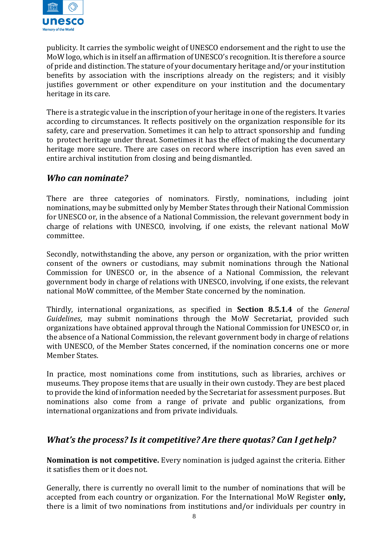

publicity. It carries the symbolic weight of UNESCO endorsement and the right to use the MoW logo, which is in itself an affirmation of UNESCO's recognition. It is therefore a source of pride and distinction. The stature of your documentary heritage and/or your institution benefits by association with the inscriptions already on the registers; and it visibly justifies government or other expenditure on your institution and the documentary heritage in its care.

There is a strategic value in the inscription of your heritage in one of the registers. It varies according to circumstances. It reflects positively on the organization responsible for its safety, care and preservation. Sometimes it can help to attract sponsorship and funding to protect heritage under threat. Sometimes it has the effect of making the documentary heritage more secure. There are cases on record where inscription has even saved an entire archival institution from closing and being dismantled.

#### *Who can nominate?*

There are three categories of nominators. Firstly, nominations, including joint nominations, may be submitted only by Member States through their National Commission for UNESCO or, in the absence of a National Commission, the relevant government body in charge of relations with UNESCO, involving, if one exists, the relevant national MoW committee.

Secondly, notwithstanding the above, any person or organization, with the prior written consent of the owners or custodians, may submit nominations through the National Commission for UNESCO or, in the absence of a National Commission, the relevant government body in charge of relations with UNESCO, involving, if one exists, the relevant national MoW committee, of the Member State concerned by the nomination.

Thirdly, international organizations, as specified in **Section 8.5.1.4** of the *General Guidelines*, may submit nominations through the MoW Secretariat, provided such organizations have obtained approval through the National Commission for UNESCO or, in the absence of a National Commission, the relevant government body in charge of relations with UNESCO, of the Member States concerned, if the nomination concerns one or more Member States.

In practice, most nominations come from institutions, such as libraries, archives or museums. They propose items that are usually in their own custody. They are best placed to provide the kind of information needed by the Secretariat for assessment purposes. But nominations also come from a range of private and public organizations, from international organizations and from private individuals.

# *What's the process? Is it competitive? Are there quotas? Can I gethelp?*

**Nomination is not competitive.** Every nomination is judged against the criteria. Either it satisfies them or it does not.

Generally, there is currently no overall limit to the number of nominations that will be accepted from each country or organization. For the International MoW Register **only,**  there is a limit of two nominations from institutions and/or individuals per country in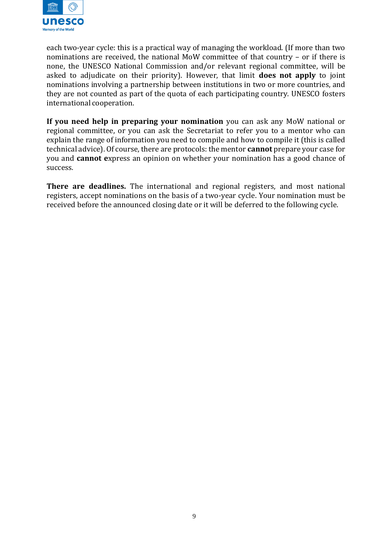

each two-year cycle: this is a practical way of managing the workload. (If more than two nominations are received, the national MoW committee of that country – or if there is none, the UNESCO National Commission and/or relevant regional committee, will be asked to adjudicate on their priority). However, that limit **does not apply** to joint nominations involving a partnership between institutions in two or more countries, and they are not counted as part of the quota of each participating country. UNESCO fosters international cooperation.

**If you need help in preparing your nomination** you can ask any MoW national or regional committee, or you can ask the Secretariat to refer you to a mentor who can explain the range of information you need to compile and how to compile it (this is called technical advice). Of course, there are protocols: the mentor **cannot** prepare your case for you and **cannot e**xpress an opinion on whether your nomination has a good chance of success.

**There are deadlines.** The international and regional registers, and most national registers, accept nominations on the basis of a two-year cycle. Your nomination must be received before the announced closing date or it will be deferred to the following cycle.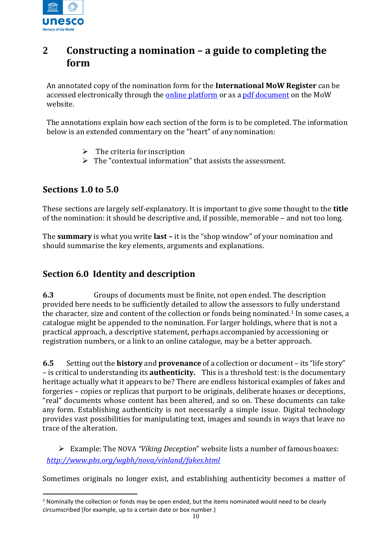

# **2 Constructing a nomination – a guide to completing the form**

An annotated copy of the nomination form for the **International MoW Register** can be accessed electronically through the **online platform** or as a pdf [document](https://en.unesco.org/sites/default/files/mow_register_nomination_form_en.pdf) on the MoW website.

The annotations explain how each section of the form is to be completed. The information below is an extended commentary on the "heart" of any nomination:

- $\triangleright$  The criteria for inscription
- $\triangleright$  The "contextual information" that assists the assessment.

# **Sections 1.0 to 5.0**

These sections are largely self-explanatory. It is important to give some thought to the **title**  of the nomination: it should be descriptive and, if possible, memorable – and not too long.

The **summary** is what you write **last –** it is the "shop window" of your nomination and should summarise the key elements, arguments and explanations.

# **Section 6.0 Identity and description**

**6.3** Groups of documents must be finite, not open ended. The description provided here needs to be sufficiently detailed to allow the assessors to fully understand the character, size and content of the collection or fonds being nominated.<sup>1</sup> In some cases, a catalogue might be appended to the nomination. For larger holdings, where that is not a practical approach, a descriptive statement, perhaps accompanied by accessioning or registration numbers, or a link to an online catalogue, may be a better approach.

**6.5** Setting out the **history** and **provenance** of a collection or document – its "life story" – is critical to understanding its **authenticity.** This is a threshold test: is the documentary heritage actually what it appears to be? There are endless historical examples of fakes and forgeries – copies or replicas that purport to be originals, deliberate hoaxes or deceptions, "real" documents whose content has been altered, and so on. These documents can take any form. Establishing authenticity is not necessarily a simple issue. Digital technology provides vast possibilities for manipulating text, images and sounds in ways that leave no trace of the alteration.

➢ Example: The NOVA *"Viking Deception*" website lists a number of famous hoaxes: *<http://www.pbs.org/wgbh/nova/vinland/fakes.html>*

Sometimes originals no longer exist, and establishing authenticity becomes a matter of

 $1$  Nominally the collection or fonds may be open ended, but the items nominated would need to be clearly circumscribed (for example, up to a certain date or box number.)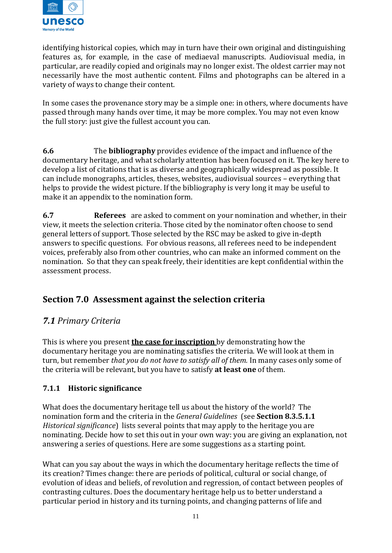

identifying historical copies, which may in turn have their own original and distinguishing features as, for example, in the case of mediaeval manuscripts. Audiovisual media, in particular, are readily copied and originals may no longer exist. The oldest carrier may not necessarily have the most authentic content. Films and photographs can be altered in a variety of ways to change their content.

In some cases the provenance story may be a simple one: in others, where documents have passed through many hands over time, it may be more complex. You may not even know the full story: just give the fullest account you can.

**6.6** The **bibliography** provides evidence of the impact and influence of the documentary heritage, and what scholarly attention has been focused on it. The key here to develop a list of citations that is as diverse and geographically widespread as possible. It can include monographs, articles, theses, websites, audiovisual sources – everything that helps to provide the widest picture. If the bibliography is very long it may be useful to make it an appendix to the nomination form.

**6.7 Referees** are asked to comment on your nomination and whether, in their view, it meets the selection criteria. Those cited by the nominator often choose to send general letters of support. Those selected by the RSC may be asked to give in-depth answers to specific questions. For obvious reasons, all referees need to be independent voices, preferably also from other countries, who can make an informed comment on the nomination. So that they can speak freely, their identities are kept confidential within the assessment process.

# **Section 7.0 Assessment against the selection criteria**

# *7.1 Primary Criteria*

This is where you present **the case for inscription** by demonstrating how the documentary heritage you are nominating satisfies the criteria. We will look at them in turn, but remember *that you do not have to satisfy all of them.* In many cases only some of the criteria will be relevant, but you have to satisfy **at least one** of them.

# **7.1.1 Historic significance**

What does the documentary heritage tell us about the history of the world? The nomination form and the criteria in the *General Guidelines* (see **Section 8.3.5.1.1** *Historical significance*) lists several points that may apply to the heritage you are nominating. Decide how to set this out in your own way: you are giving an explanation, not answering a series of questions. Here are some suggestions as a starting point.

What can you say about the ways in which the documentary heritage reflects the time of its creation? Times change: there are periods of political, cultural or social change, of evolution of ideas and beliefs, of revolution and regression, of contact between peoples of contrasting cultures. Does the documentary heritage help us to better understand a particular period in history and its turning points, and changing patterns of life and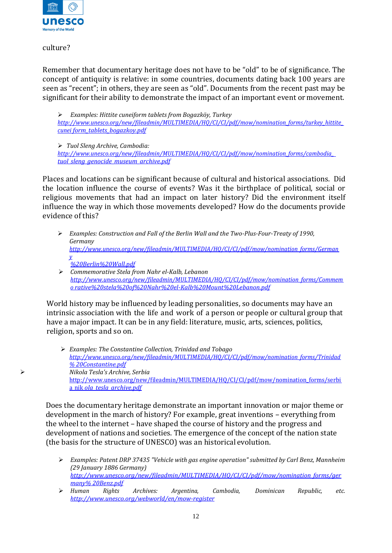

culture?

Remember that documentary heritage does not have to be "old" to be of significance. The concept of antiquity is relative: in some countries, documents dating back 100 years are seen as "recent"; in others, they are seen as "old". Documents from the recent past may be significant for their ability to demonstrate the impact of an important event or movement.

➢ *Examples: Hittite cuneiform tablets from Bogazköy, Turkey [http://www.unesco.org/new/fileadmin/MULTIMEDIA/HQ/CI/CI/pdf/mow/nomination\\_forms/turkey\\_hittite\\_](http://www.unesco.org/new/fileadmin/MULTIMEDIA/HQ/CI/CI/pdf/mow/nomination_forms/turkey_hittite_cuneiform_tablets_bogazkoy.pdf) [cunei form\\_tablets\\_bogazkoy.pdf](http://www.unesco.org/new/fileadmin/MULTIMEDIA/HQ/CI/CI/pdf/mow/nomination_forms/turkey_hittite_cuneiform_tablets_bogazkoy.pdf)*

➢ *Tuol Sleng Archive, Cambodia:* 

*[http://www.unesco.org/new/fileadmin/MULTIMEDIA/HQ/CI/CI/pdf/mow/nomination\\_forms/cambodia\\_](http://www.unesco.org/new/fileadmin/MULTIMEDIA/HQ/CI/CI/pdf/mow/nomination_forms/cambodia_tuol_sleng_genocide_museum_archive.pdf)  [tuol\\_sleng\\_genocide\\_museum\\_archive.pdf](http://www.unesco.org/new/fileadmin/MULTIMEDIA/HQ/CI/CI/pdf/mow/nomination_forms/cambodia_tuol_sleng_genocide_museum_archive.pdf)*

Places and locations can be significant because of cultural and historical associations. Did the location influence the course of events? Was it the birthplace of political, social or religious movements that had an impact on later history? Did the environment itself influence the way in which those movements developed? How do the documents provide evidence of this?

- ➢ *Examples: Construction and Fall of the Berlin Wall and the Two-Plus-Four-Treaty of 1990, Germany [http://www.unesco.org/new/fileadmin/MULTIMEDIA/HQ/CI/CI/pdf/mow/nomination\\_forms/German](http://www.unesco.org/new/fileadmin/MULTIMEDIA/HQ/CI/CI/pdf/mow/nomination_forms/Germany%20Berlin%20Wall.pdf) [y](http://www.unesco.org/new/fileadmin/MULTIMEDIA/HQ/CI/CI/pdf/mow/nomination_forms/Germany%20Berlin%20Wall.pdf) [%20Berlin%20Wall.pdf](http://www.unesco.org/new/fileadmin/MULTIMEDIA/HQ/CI/CI/pdf/mow/nomination_forms/Germany%20Berlin%20Wall.pdf)*
- ➢ *Commemorative Stela from Nahr el-Kalb, Lebanon [http://www.unesco.org/new/fileadmin/MULTIMEDIA/HQ/CI/CI/pdf/mow/nomination\\_forms/Commem](http://www.unesco.org/new/fileadmin/MULTIMEDIA/HQ/CI/CI/pdf/mow/nomination_forms/Commemorative%20stela%20of%20Nahr%20el-Kalb%20Mount%20Lebanon.pdf) [o rative%20stela%20of%20Nahr%20el-Kalb%20Mount%20Lebanon.pdf](http://www.unesco.org/new/fileadmin/MULTIMEDIA/HQ/CI/CI/pdf/mow/nomination_forms/Commemorative%20stela%20of%20Nahr%20el-Kalb%20Mount%20Lebanon.pdf)*

World history may be influenced by leading personalities, so documents may have an intrinsic association with the life and work of a person or people or cultural group that have a major impact. It can be in any field: literature, music, arts, sciences, politics, religion, sports and so on.

➢ *Examples: The Constantine Collection, Trinidad and Tobago [http://www.unesco.org/new/fileadmin/MULTIMEDIA/HQ/CI/CI/pdf/mow/nomination\\_forms/Trinidad](http://www.unesco.org/new/fileadmin/MULTIMEDIA/HQ/CI/CI/pdf/mow/nomination_forms/Trinidad%20Constantine.pdf) [% 20Constantine.pdf](http://www.unesco.org/new/fileadmin/MULTIMEDIA/HQ/CI/CI/pdf/mow/nomination_forms/Trinidad%20Constantine.pdf)* ➢ *Nikola Tesla's Archive, Serbia*  [http://www.unesco.org/new/fileadmin/MULTIMEDIA/HQ/CI/CI/pdf/mow/nomination\\_forms/serbi](http://www.unesco.org/new/fileadmin/MULTIMEDIA/HQ/CI/CI/pdf/mow/nomination_forms/serbia_nik) [a\\_nik](http://www.unesco.org/new/fileadmin/MULTIMEDIA/HQ/CI/CI/pdf/mow/nomination_forms/serbia_nik) *[ola\\_tesla\\_archive.pdf](http://www.unesco.org/new/fileadmin/MULTIMEDIA/HQ/CI/CI/pdf/mow/nomination_forms/serbia_nikola_tesla_archive.pdf)*

Does the documentary heritage demonstrate an important innovation or major theme or development in the march of history? For example, great inventions – everything from the wheel to the internet – have shaped the course of history and the progress and development of nations and societies. The emergence of the concept of the nation state (the basis for the structure of UNESCO) was an historical evolution.

- ➢ *Examples: Patent DRP 37435 "Vehicle with gas engine operation" submitted by Carl Benz, Mannheim (29 January 1886 Germany) [http://www.unesco.org/new/fileadmin/MULTIMEDIA/HQ/CI/CI/pdf/mow/nomination\\_forms/ger](http://www.unesco.org/new/fileadmin/MULTIMEDIA/HQ/CI/CI/pdf/mow/nomination_forms/germany%20Benz.pdf) [many% 20Benz.pdf](http://www.unesco.org/new/fileadmin/MULTIMEDIA/HQ/CI/CI/pdf/mow/nomination_forms/germany%20Benz.pdf)*
- ➢ *Human Rights Archives: Argentina, Cambodia, Dominican Republic, etc. <http://www.unesco.org/webworld/en/mow-register>*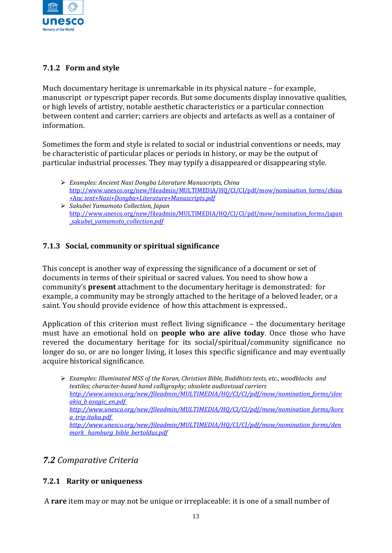

# **7.1.2 Form and style**

Much documentary heritage is unremarkable in its physical nature – for example, manuscript or typescript paper records. But some documents display innovative qualities, or high levels of artistry, notable aesthetic characteristics or a particular connection between content and carrier; carriers are objects and artefacts as well as a container of information.

Sometimes the form and style is related to social or industrial conventions or needs, may be characteristic of particular places or periods in history, or may be the output of particular industrial processes. They may typify a disappeared or disappearing style.

- ➢ *Examples: Ancient Naxi Dongba Literature Manuscripts, China*  [http://www.unesco.org/new/fileadmin/MULTIMEDIA/HQ/CI/CI/pdf/mow/nomination\\_forms/china](http://www.unesco.org/new/fileadmin/MULTIMEDIA/HQ/CI/CI/pdf/mow/nomination_forms/china+Anc) [+Anc](http://www.unesco.org/new/fileadmin/MULTIMEDIA/HQ/CI/CI/pdf/mow/nomination_forms/china+Anc) *[ient+Naxi+Dongba+Literature+Manuscripts.pdf](http://www.unesco.org/new/fileadmin/MULTIMEDIA/HQ/CI/CI/pdf/mow/nomination_forms/china%2BAncient%2BNaxi%2BDongba%2BLiterature%2BManuscripts.pdf)*
- ➢ *Sakubei Yamamoto Collection, Japan*  [http://www.unesco.org/new/fileadmin/MULTIMEDIA/HQ/CI/CI/pdf/mow/nomination\\_forms/japan](http://www.unesco.org/new/fileadmin/MULTIMEDIA/HQ/CI/CI/pdf/mow/nomination_forms/japan_sak) [\\_sak](http://www.unesco.org/new/fileadmin/MULTIMEDIA/HQ/CI/CI/pdf/mow/nomination_forms/japan_sak)*[ubei\\_yamamoto\\_collection.pdf](http://www.unesco.org/new/fileadmin/MULTIMEDIA/HQ/CI/CI/pdf/mow/nomination_forms/japan_sakubei_yamamoto_collection.pdf)*

#### **7.1.3 Social, community or spiritual significance**

This concept is another way of expressing the significance of a document or set of documents in terms of their spiritual or sacred values. You need to show how a community's **present** attachment to the documentary heritage is demonstrated: for example, a community may be strongly attached to the heritage of a beloved leader, or a saint. You should provide evidence of how this attachment is expressed..

Application of this criterion must reflect living significance – the documentary heritage must have an emotional hold on **people who are alive today**. Once those who have revered the documentary heritage for its social/spiritual/community significance no longer do so, or are no longer living, it loses this specific significance and may eventually acquire historical significance.

# *7.2 Comparative Criteria*

#### **7.2.1 Rarity or uniqueness**

A **rare** item may or may not be unique or irreplaceable: it is one of a small number of

<sup>➢</sup> *Examples: Illuminated MSS of the Koran, Christian Bible, Buddhists texts, etc., woodblocks and textiles; character-based hand calligraphy; obsolete audiovisual carriers [http://www.unesco.org/new/fileadmin/MULTIMEDIA/HQ/CI/CI/pdf/mow/nomination\\_forms/slov](http://www.unesco.org/new/fileadmin/MULTIMEDIA/HQ/CI/CI/pdf/mow/nomination_forms/slovakia_basagic_en.pdf) [akia\\_b asagic\\_en.pdf](http://www.unesco.org/new/fileadmin/MULTIMEDIA/HQ/CI/CI/pdf/mow/nomination_forms/slovakia_basagic_en.pdf)  [http://www.unesco.org/new/fileadmin/MULTIMEDIA/HQ/CI/CI/pdf/mow/nomination\\_forms/kore](http://www.unesco.org/new/fileadmin/MULTIMEDIA/HQ/CI/CI/pdf/mow/nomination_forms/korea_tripitaka.pdf) [a\\_trip itaka.pdf](http://www.unesco.org/new/fileadmin/MULTIMEDIA/HQ/CI/CI/pdf/mow/nomination_forms/korea_tripitaka.pdf)  [http://www.unesco.org/new/fileadmin/MULTIMEDIA/HQ/CI/CI/pdf/mow/nomination\\_forms/den](http://www.unesco.org/new/fileadmin/MULTIMEDIA/HQ/CI/CI/pdf/mow/nomination_forms/denmark_hamburg_bible_bertoldus.pdf) [mark\\_ hamburg\\_bible\\_bertoldus.pdf](http://www.unesco.org/new/fileadmin/MULTIMEDIA/HQ/CI/CI/pdf/mow/nomination_forms/denmark_hamburg_bible_bertoldus.pdf)*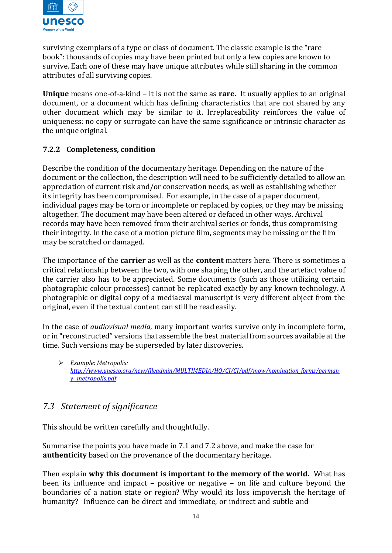

surviving exemplars of a type or class of document. The classic example is the "rare book": thousands of copies may have been printed but only a few copies are known to survive. Each one of these may have unique attributes while still sharing in the common attributes of all surviving copies.

**Unique** means one-of-a-kind – it is not the same as **rare.** It usually applies to an original document, or a document which has defining characteristics that are not shared by any other document which may be similar to it. Irreplaceability reinforces the value of uniqueness: no copy or surrogate can have the same significance or intrinsic character as the unique original.

#### **7.2.2 Completeness, condition**

Describe the condition of the documentary heritage. Depending on the nature of the document or the collection, the description will need to be sufficiently detailed to allow an appreciation of current risk and/or conservation needs, as well as establishing whether its integrity has been compromised. For example, in the case of a paper document, individual pages may be torn or incomplete or replaced by copies, or they may be missing altogether. The document may have been altered or defaced in other ways. Archival records may have been removed from their archival series or fonds, thus compromising their integrity. In the case of a motion picture film, segments may be missing or the film may be scratched or damaged.

The importance of the **carrier** as well as the **content** matters here. There is sometimes a critical relationship between the two, with one shaping the other, and the artefact value of the carrier also has to be appreciated. Some documents (such as those utilizing certain photographic colour processes) cannot be replicated exactly by any known technology. A photographic or digital copy of a mediaeval manuscript is very different object from the original, even if the textual content can still be read easily.

In the case of *audiovisual media,* many important works survive only in incomplete form, or in "reconstructed" versions that assemble the best material from sources available at the time. Such versions may be superseded by later discoveries.

➢ *Example: Metropolis: [http://www.unesco.org/new/fileadmin/MULTIMEDIA/HQ/CI/CI/pdf/mow/nomination\\_forms/german](http://www.unesco.org/new/fileadmin/MULTIMEDIA/HQ/CI/CI/pdf/mow/nomination_forms/germany_metropolis.pdf) [y\\_ metropolis.pdf](http://www.unesco.org/new/fileadmin/MULTIMEDIA/HQ/CI/CI/pdf/mow/nomination_forms/germany_metropolis.pdf)*

# *7.3 Statement of significance*

This should be written carefully and thoughtfully.

Summarise the points you have made in 7.1 and 7.2 above, and make the case for **authenticity** based on the provenance of the documentary heritage.

Then explain **why this document is important to the memory of the world.** What has been its influence and impact – positive or negative – on life and culture beyond the boundaries of a nation state or region? Why would its loss impoverish the heritage of humanity? Influence can be direct and immediate, or indirect and subtle and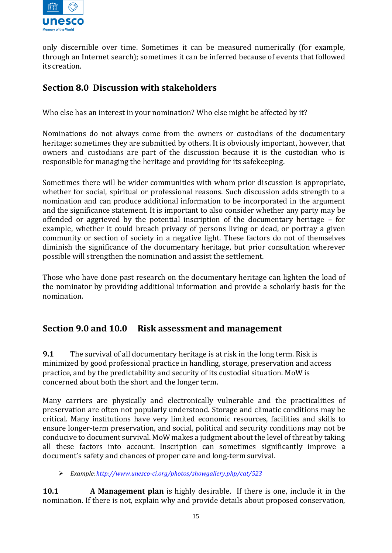

only discernible over time. Sometimes it can be measured numerically (for example, through an Internet search); sometimes it can be inferred because of events that followed its creation.

# **Section 8.0 Discussion with stakeholders**

Who else has an interest in your nomination? Who else might be affected by it?

Nominations do not always come from the owners or custodians of the documentary heritage: sometimes they are submitted by others. It is obviously important, however, that owners and custodians are part of the discussion because it is the custodian who is responsible for managing the heritage and providing for its safekeeping.

Sometimes there will be wider communities with whom prior discussion is appropriate, whether for social, spiritual or professional reasons. Such discussion adds strength to a nomination and can produce additional information to be incorporated in the argument and the significance statement. It is important to also consider whether any party may be offended or aggrieved by the potential inscription of the documentary heritage – for example, whether it could breach privacy of persons living or dead, or portray a given community or section of society in a negative light. These factors do not of themselves diminish the significance of the documentary heritage, but prior consultation wherever possible will strengthen the nomination and assist the settlement.

Those who have done past research on the documentary heritage can lighten the load of the nominator by providing additional information and provide a scholarly basis for the nomination.

# **Section 9.0 and 10.0 Risk assessment and management**

**9.1** The survival of all documentary heritage is at risk in the long term. Risk is minimized by good professional practice in handling, storage, preservation and access practice, and by the predictability and security of its custodial situation. MoW is concerned about both the short and the longer term.

Many carriers are physically and electronically vulnerable and the practicalities of preservation are often not popularly understood. Storage and climatic conditions may be critical. Many institutions have very limited economic resources, facilities and skills to ensure longer-term preservation, and social, political and security conditions may not be conducive to document survival. MoW makes a judgment about the level of threat by taking all these factors into account. Inscription can sometimes significantly improve a document's safety and chances of proper care and long-term survival.

➢ *Example[:http://www.unesco-ci.org/photos/showgallery.php/cat/523](http://www.unesco-ci.org/photos/showgallery.php/cat/523)*

**10.1 A Management plan** is highly desirable. If there is one, include it in the nomination. If there is not, explain why and provide details about proposed conservation,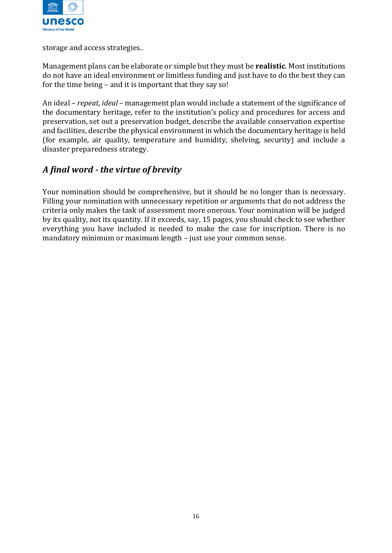

storage and access strategies..

Management plans can be elaborate or simple but they must be **realistic**. Most institutions do not have an ideal environment or limitless funding and just have to do the best they can for the time being – and it is important that they say so!

An ideal – *repeat, ideal* – management plan would include a statement of the significance of the documentary heritage, refer to the institution's policy and procedures for access and preservation, set out a preservation budget, describe the available conservation expertise and facilities, describe the physical environment in which the documentary heritage is held (for example, air quality, temperature and humidity, shelving, security) and include a disaster preparedness strategy.

# *A final word - the virtue of brevity*

Your nomination should be comprehensive, but it should be no longer than is necessary. Filling your nomination with unnecessary repetition or arguments that do not address the criteria only makes the task of assessment more onerous. Your nomination will be judged by its quality, not its quantity. If it exceeds, say, 15 pages, you should check to see whether everything you have included is needed to make the case for inscription. There is no mandatory minimum or maximum length – just use your common sense.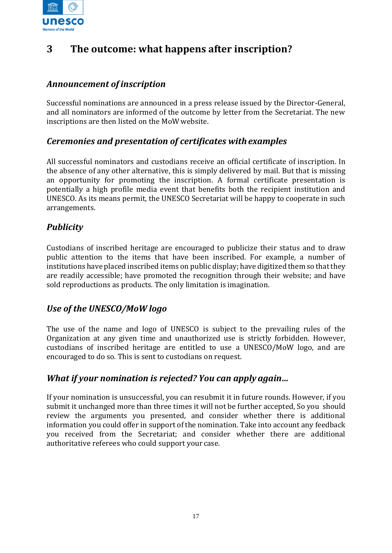

# **3 The outcome: what happens after inscription?**

# *Announcement of inscription*

Successful nominations are announced in a press release issued by the Director-General, and all nominators are informed of the outcome by letter from the Secretariat. The new inscriptions are then listed on the MoW website.

# *Ceremonies and presentation of certificates withexamples*

All successful nominators and custodians receive an official certificate of inscription. In the absence of any other alternative, this is simply delivered by mail. But that is missing an opportunity for promoting the inscription. A formal certificate presentation is potentially a high profile media event that benefits both the recipient institution and UNESCO. As its means permit, the UNESCO Secretariat will be happy to cooperate in such arrangements.

# *Publicity*

Custodians of inscribed heritage are encouraged to publicize their status and to draw public attention to the items that have been inscribed. For example, a number of institutions have placed inscribed items on public display; have digitized them so that they are readily accessible; have promoted the recognition through their website; and have sold reproductions as products. The only limitation is imagination.

# *Use of the UNESCO/MoW logo*

The use of the name and logo of UNESCO is subject to the prevailing rules of the Organization at any given time and unauthorized use is strictly forbidden. However, custodians of inscribed heritage are entitled to use a UNESCO/MoW logo, and are encouraged to do so. This is sent to custodians on request.

# *What if your nomination is rejected? You can apply again…*

If your nomination is unsuccessful, you can resubmit it in future rounds. However, if you submit it unchanged more than three times it will not be further accepted, So you should review the arguments you presented, and consider whether there is additional information you could offer in support of the nomination. Take into account any feedback you received from the Secretariat; and consider whether there are additional authoritative referees who could support your case.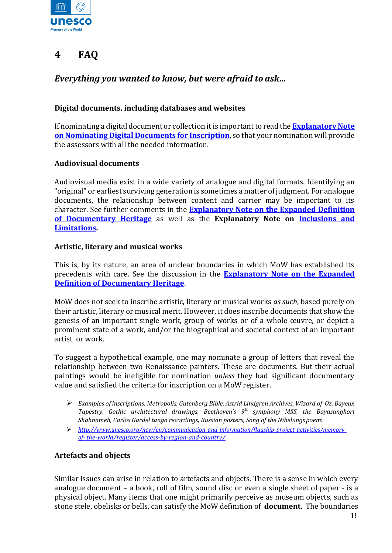

# **4 FAQ**

# *Everything you wanted to know, but were afraid to ask…*

#### **Digital documents, including databases and websites**

If nominating a digital document or collection it is important to read the **[Explanatory Note](https://en.unesco.org/sites/default/files/nominating_digital_documents_inscription_note_en.pdf)  [on Nominating Digital Documents](https://en.unesco.org/sites/default/files/nominating_digital_documents_inscription_note_en.pdf) for Inscription**, so that your nomination will provide the assessors with all the needed information.

#### **Audiovisual documents**

Audiovisual media exist in a wide variety of analogue and digital formats. Identifying an "original" or earliest surviving generation is sometimes a matter ofjudgment. For analogue documents, the relationship between content and carrier may be important to its character. See further comments in the **[Explanatory Note on the Expanded Definition](https://en.unesco.org/sites/default/files/expanded_definition_documentary_heritage.pdf)  [of Documentary Heritage](https://en.unesco.org/sites/default/files/expanded_definition_documentary_heritage.pdf)** as well as the **Explanatory Note on [Inclusions and](https://en.unesco.org/sites/default/files/explanatory_note_inclusions_limitations_en.pdf)  [Limitations.](https://en.unesco.org/sites/default/files/explanatory_note_inclusions_limitations_en.pdf)** 

#### **Artistic, literary and musical works**

This is, by its nature, an area of unclear boundaries in which MoW has established its precedents with care. See the discussion in the **[Explanatory Note on the Expanded](https://en.unesco.org/sites/default/files/expanded_definition_documentary_heritage.pdf)  [Definition of Documentary Heritage](https://en.unesco.org/sites/default/files/expanded_definition_documentary_heritage.pdf)**.

MoW does not seek to inscribe artistic, literary or musical works *as such*, based purely on their artistic, literary or musical merit. However, it does inscribe documents that show the genesis of an important single work, group of works or of a whole œuvre, or depict a prominent state of a work, and/or the biographical and societal context of an important artist or work.

To suggest a hypothetical example, one may nominate a group of letters that reveal the relationship between two Renaissance painters. These are documents. But their actual paintings would be ineligible for nomination *unless* they had significant documentary value and satisfied the criteria for inscription on a MoW register.

- ➢ *Examples of inscriptions: Metropolis, Gutenberg Bible, Astrid Lindgren Archives, Wizard of Oz, Bayeux Tapestry, Gothic architectural drawings, Beethoven's 9th symphony MSS, the Bayasanghori Shahnameh, Carlos Gardel tango recordings, Russian posters, Song of the Nibelungs poem*:
- ➢ *[http://www.unesco.org/new/en/communication-and-information/flagship-project-activities/memory](http://www.unesco.org/new/en/communication-and-information/flagship-project-activities/memory-of-the-world/register/access-by-region-and-country/)[of-](http://www.unesco.org/new/en/communication-and-information/flagship-project-activities/memory-of-the-world/register/access-by-region-and-country/) [the-world/register/access-by-region-and-country/](http://www.unesco.org/new/en/communication-and-information/flagship-project-activities/memory-of-the-world/register/access-by-region-and-country/)*

#### **Artefacts and objects**

Similar issues can arise in relation to artefacts and objects. There is a sense in which every analogue document – a book, roll of film, sound disc or even a single sheet of paper - is a physical object. Many items that one might primarily perceive as museum objects, such as stone stele, obelisks or bells, can satisfy the MoW definition of **document.** The boundaries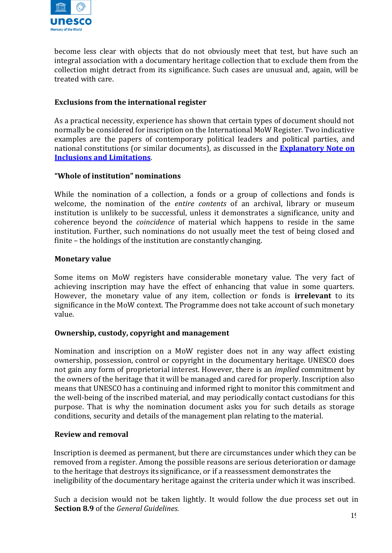

become less clear with objects that do not obviously meet that test, but have such an integral association with a documentary heritage collection that to exclude them from the collection might detract from its significance. Such cases are unusual and, again, will be treated with care.

#### **Exclusions from the international register**

As a practical necessity, experience has shown that certain types of document should not normally be considered for inscription on the International MoW Register. Two indicative examples are the papers of contemporary political leaders and political parties, and national constitutions (or similar documents), as discussed in the **[Explanatory Note on](https://en.unesco.org/sites/default/files/explanatory_note_inclusions_limitations_en.pdf)  [Inclusions and Limitations](https://en.unesco.org/sites/default/files/explanatory_note_inclusions_limitations_en.pdf)**.

#### **"Whole of institution" nominations**

While the nomination of a collection, a fonds or a group of collections and fonds is welcome, the nomination of the *entire contents* of an archival, library or museum institution is unlikely to be successful, unless it demonstrates a significance, unity and coherence beyond the *coincidence* of material which happens to reside in the same institution. Further, such nominations do not usually meet the test of being closed and finite – the holdings of the institution are constantly changing.

#### **Monetary value**

Some items on MoW registers have considerable monetary value. The very fact of achieving inscription may have the effect of enhancing that value in some quarters. However, the monetary value of any item, collection or fonds is **irrelevant** to its significance in the MoW context. The Programme does not take account of such monetary value.

#### **Ownership, custody, copyright and management**

Nomination and inscription on a MoW register does not in any way affect existing ownership, possession, control or copyright in the documentary heritage. UNESCO does not gain any form of proprietorial interest. However, there is an *implied* commitment by the owners of the heritage that it will be managed and cared for properly. Inscription also means that UNESCO has a continuing and informed right to monitor this commitment and the well-being of the inscribed material, and may periodically contact custodians for this purpose. That is why the nomination document asks you for such details as storage conditions, security and details of the management plan relating to the material.

#### **Review and removal**

Inscription is deemed as permanent, but there are circumstances under which they can be removed from a register. Among the possible reasons are serious deterioration or damage to the heritage that destroys its significance, or if a reassessment demonstrates the ineligibility of the documentary heritage against the criteria under which it was inscribed.

Such a decision would not be taken lightly. It would follow the due process set out in **Section 8.9** of the *General Guidelines.*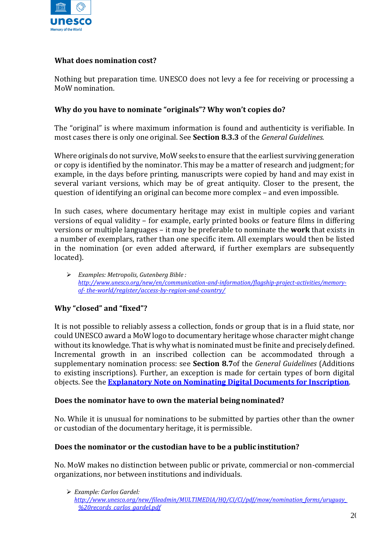

#### **What does nomination cost?**

Nothing but preparation time. UNESCO does not levy a fee for receiving or processing a MoW nomination.

#### **Why do you have to nominate "originals"? Why won't copies do?**

The "original" is where maximum information is found and authenticity is verifiable. In most cases there is only one original. See **Section 8.3.3** of the *General Guidelines.*

Where originals do not survive, MoW seeks to ensure that the earliest surviving generation or copy is identified by the nominator. This may be a matter of research and judgment; for example, in the days before printing, manuscripts were copied by hand and may exist in several variant versions, which may be of great antiquity. Closer to the present, the question of identifying an original can become more complex – and even impossible.

In such cases, where documentary heritage may exist in multiple copies and variant versions of equal validity – for example, early printed books or feature films in differing versions or multiple languages – it may be preferable to nominate the **work** that exists in a number of exemplars, rather than one specific item. All exemplars would then be listed in the nomination (or even added afterward, if further exemplars are subsequently located).

➢ *Examples: Metropolis, Gutenberg Bible : [http://www.unesco.org/new/en/communication-and-information/flagship-project-activities/memory](http://www.unesco.org/new/en/communication-and-information/flagship-project-activities/memory-of-the-world/register/access-by-region-and-country/)[of-](http://www.unesco.org/new/en/communication-and-information/flagship-project-activities/memory-of-the-world/register/access-by-region-and-country/) [the-world/register/access-by-region-and-country/](http://www.unesco.org/new/en/communication-and-information/flagship-project-activities/memory-of-the-world/register/access-by-region-and-country/)*

#### **Why "closed" and "fixed"?**

It is not possible to reliably assess a collection, fonds or group that is in a fluid state, nor could UNESCO award a MoW logo to documentary heritage whose character might change without its knowledge. That is why what is nominated must be finite and preciselydefined. Incremental growth in an inscribed collection can be accommodated through a supplementary nomination process: see **Section 8.7**of the *General Guidelines* (Additions to existing inscriptions)*.* Further, an exception is made for certain types of born digital objects. See the **[Explanatory Note on Nominating Digital Documents for Inscription](https://en.unesco.org/sites/default/files/nominating_digital_documents_inscription_note_en.pdf)**.

#### **Does the nominator have to own the material beingnominated?**

No. While it is unusual for nominations to be submitted by parties other than the owner or custodian of the documentary heritage, it is permissible.

#### **Does the nominator or the custodian have to be a public institution?**

No. MoW makes no distinction between public or private, commercial or non-commercial organizations, nor between institutions and individuals.

<sup>➢</sup> *Example: Carlos Gardel:* 

*[http://www.unesco.org/new/fileadmin/MULTIMEDIA/HQ/CI/CI/pdf/mow/nomination\\_forms/uruguay\\_](http://www.unesco.org/new/fileadmin/MULTIMEDIA/HQ/CI/CI/pdf/mow/nomination_forms/uruguay_%20records_carlos_gardel.pdf) [%20records\\_carlos\\_gardel.pdf](http://www.unesco.org/new/fileadmin/MULTIMEDIA/HQ/CI/CI/pdf/mow/nomination_forms/uruguay_%20records_carlos_gardel.pdf)*